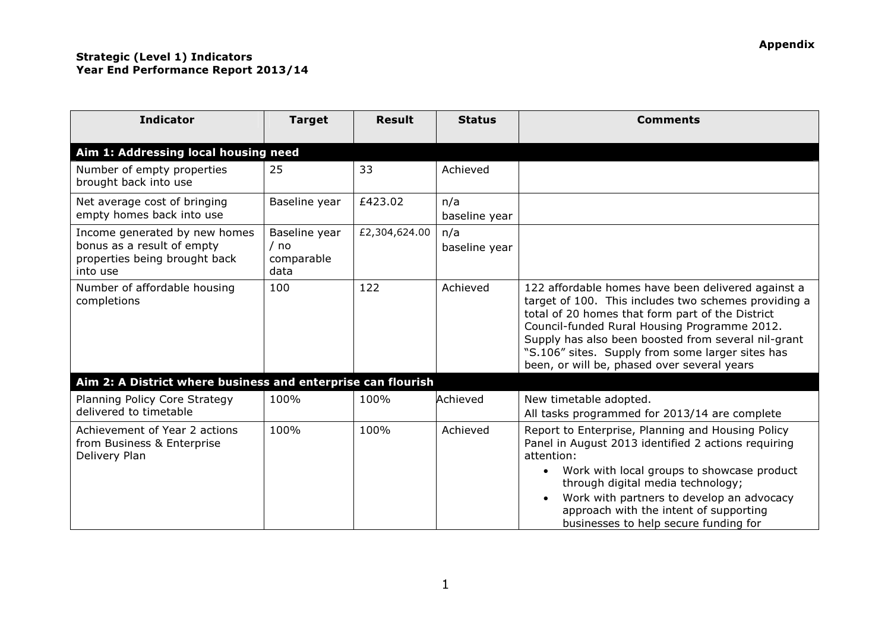## Strategic (Level 1) Indicators Year End Performance Report 2013/14

| <b>Indicator</b>                                                                                         | <b>Target</b>                               | <b>Result</b> | <b>Status</b>        | <b>Comments</b>                                                                                                                                                                                                                                                                                                                                                          |
|----------------------------------------------------------------------------------------------------------|---------------------------------------------|---------------|----------------------|--------------------------------------------------------------------------------------------------------------------------------------------------------------------------------------------------------------------------------------------------------------------------------------------------------------------------------------------------------------------------|
| Aim 1: Addressing local housing need                                                                     |                                             |               |                      |                                                                                                                                                                                                                                                                                                                                                                          |
| Number of empty properties<br>brought back into use                                                      | 25                                          | 33            | Achieved             |                                                                                                                                                                                                                                                                                                                                                                          |
| Net average cost of bringing<br>empty homes back into use                                                | Baseline year                               | £423.02       | n/a<br>baseline year |                                                                                                                                                                                                                                                                                                                                                                          |
| Income generated by new homes<br>bonus as a result of empty<br>properties being brought back<br>into use | Baseline year<br>/ no<br>comparable<br>data | £2,304,624.00 | n/a<br>baseline year |                                                                                                                                                                                                                                                                                                                                                                          |
| Number of affordable housing<br>completions                                                              | 100                                         | 122           | Achieved             | 122 affordable homes have been delivered against a<br>target of 100. This includes two schemes providing a<br>total of 20 homes that form part of the District<br>Council-funded Rural Housing Programme 2012.<br>Supply has also been boosted from several nil-grant<br>"S.106" sites. Supply from some larger sites has<br>been, or will be, phased over several years |
| Aim 2: A District where business and enterprise can flourish                                             |                                             |               |                      |                                                                                                                                                                                                                                                                                                                                                                          |
| Planning Policy Core Strategy<br>delivered to timetable                                                  | 100%                                        | 100%          | Achieved             | New timetable adopted.<br>All tasks programmed for 2013/14 are complete                                                                                                                                                                                                                                                                                                  |
| Achievement of Year 2 actions<br>from Business & Enterprise<br>Delivery Plan                             | 100%                                        | 100%          | Achieved             | Report to Enterprise, Planning and Housing Policy<br>Panel in August 2013 identified 2 actions requiring<br>attention:<br>Work with local groups to showcase product<br>$\bullet$<br>through digital media technology;<br>Work with partners to develop an advocacy<br>$\bullet$<br>approach with the intent of supporting<br>businesses to help secure funding for      |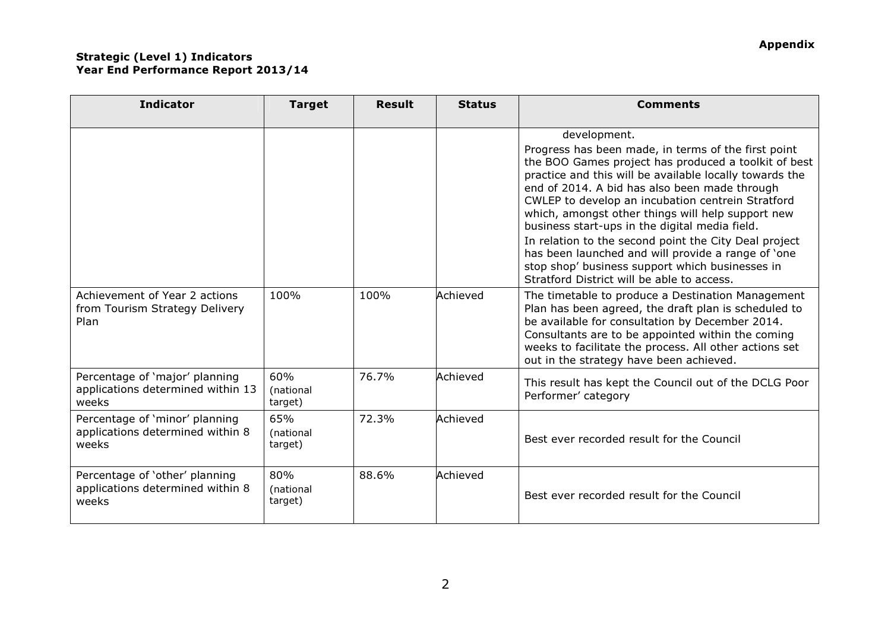Strategic (Level 1) Indicators

Year End Performance Report 2013/14

| <b>Indicator</b>                                                             | <b>Target</b>               | <b>Result</b> | <b>Status</b> | <b>Comments</b>                                                                                                                                                                                                                                                                                                                                                                                                                                                                                                                                                                                                     |
|------------------------------------------------------------------------------|-----------------------------|---------------|---------------|---------------------------------------------------------------------------------------------------------------------------------------------------------------------------------------------------------------------------------------------------------------------------------------------------------------------------------------------------------------------------------------------------------------------------------------------------------------------------------------------------------------------------------------------------------------------------------------------------------------------|
|                                                                              |                             |               |               | development.<br>Progress has been made, in terms of the first point<br>the BOO Games project has produced a toolkit of best<br>practice and this will be available locally towards the<br>end of 2014. A bid has also been made through<br>CWLEP to develop an incubation centrein Stratford<br>which, amongst other things will help support new<br>business start-ups in the digital media field.<br>In relation to the second point the City Deal project<br>has been launched and will provide a range of 'one<br>stop shop' business support which businesses in<br>Stratford District will be able to access. |
| Achievement of Year 2 actions<br>from Tourism Strategy Delivery<br>Plan      | 100%                        | 100%          | Achieved      | The timetable to produce a Destination Management<br>Plan has been agreed, the draft plan is scheduled to<br>be available for consultation by December 2014.<br>Consultants are to be appointed within the coming<br>weeks to facilitate the process. All other actions set<br>out in the strategy have been achieved.                                                                                                                                                                                                                                                                                              |
| Percentage of 'major' planning<br>applications determined within 13<br>weeks | 60%<br>(national<br>target) | 76.7%         | Achieved      | This result has kept the Council out of the DCLG Poor<br>Performer' category                                                                                                                                                                                                                                                                                                                                                                                                                                                                                                                                        |
| Percentage of 'minor' planning<br>applications determined within 8<br>weeks  | 65%<br>(national<br>target) | 72.3%         | Achieved      | Best ever recorded result for the Council                                                                                                                                                                                                                                                                                                                                                                                                                                                                                                                                                                           |
| Percentage of 'other' planning<br>applications determined within 8<br>weeks  | 80%<br>(national<br>target) | 88.6%         | Achieved      | Best ever recorded result for the Council                                                                                                                                                                                                                                                                                                                                                                                                                                                                                                                                                                           |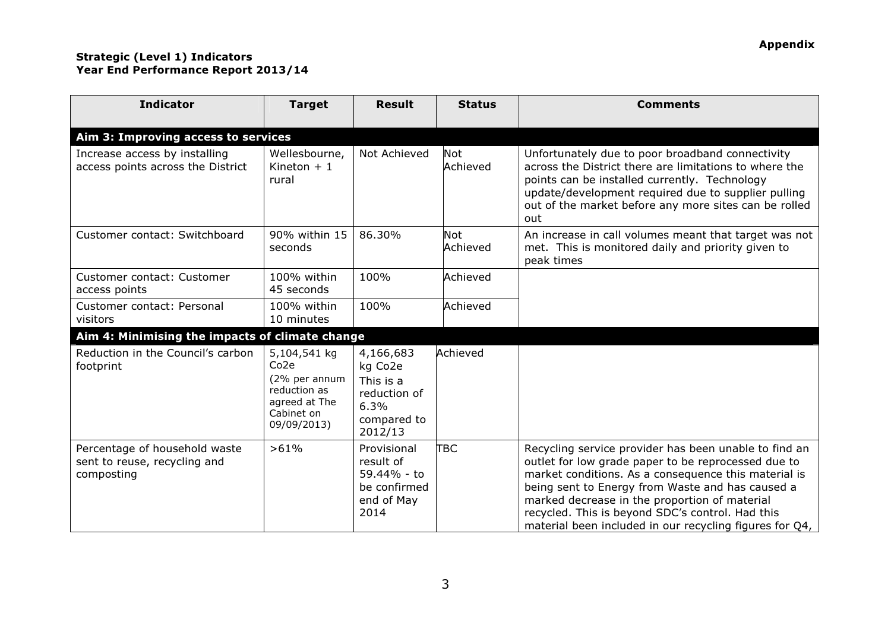## Strategic (Level 1) Indicators Year End Performance Report 2013/14

| <b>Indicator</b>                                                            | <b>Target</b>                                                                                                   | <b>Result</b>                                                                       | <b>Status</b>          | <b>Comments</b>                                                                                                                                                                                                                                                                                                                                                                          |
|-----------------------------------------------------------------------------|-----------------------------------------------------------------------------------------------------------------|-------------------------------------------------------------------------------------|------------------------|------------------------------------------------------------------------------------------------------------------------------------------------------------------------------------------------------------------------------------------------------------------------------------------------------------------------------------------------------------------------------------------|
| Aim 3: Improving access to services                                         |                                                                                                                 |                                                                                     |                        |                                                                                                                                                                                                                                                                                                                                                                                          |
| Increase access by installing<br>access points across the District          | Wellesbourne,<br>Kineton $+1$<br>rural                                                                          | Not Achieved                                                                        | <b>Not</b><br>Achieved | Unfortunately due to poor broadband connectivity<br>across the District there are limitations to where the<br>points can be installed currently. Technology<br>update/development required due to supplier pulling<br>out of the market before any more sites can be rolled<br>out                                                                                                       |
| Customer contact: Switchboard                                               | 90% within 15<br>seconds                                                                                        | 86.30%                                                                              | <b>Not</b><br>Achieved | An increase in call volumes meant that target was not<br>met. This is monitored daily and priority given to<br>peak times                                                                                                                                                                                                                                                                |
| Customer contact: Customer<br>access points                                 | 100% within<br>45 seconds                                                                                       | 100%                                                                                | Achieved               |                                                                                                                                                                                                                                                                                                                                                                                          |
| Customer contact: Personal<br>visitors                                      | 100% within<br>10 minutes                                                                                       | 100%                                                                                | Achieved               |                                                                                                                                                                                                                                                                                                                                                                                          |
| Aim 4: Minimising the impacts of climate change                             |                                                                                                                 |                                                                                     |                        |                                                                                                                                                                                                                                                                                                                                                                                          |
| Reduction in the Council's carbon<br>footprint                              | 5,104,541 kg<br>Co <sub>2e</sub><br>(2% per annum<br>reduction as<br>agreed at The<br>Cabinet on<br>09/09/2013) | 4,166,683<br>kg Co2e<br>This is a<br>reduction of<br>6.3%<br>compared to<br>2012/13 | Achieved               |                                                                                                                                                                                                                                                                                                                                                                                          |
| Percentage of household waste<br>sent to reuse, recycling and<br>composting | >61%                                                                                                            | Provisional<br>result of<br>59.44% - to<br>be confirmed<br>end of May<br>2014       | ТВС                    | Recycling service provider has been unable to find an<br>outlet for low grade paper to be reprocessed due to<br>market conditions. As a consequence this material is<br>being sent to Energy from Waste and has caused a<br>marked decrease in the proportion of material<br>recycled. This is beyond SDC's control. Had this<br>material been included in our recycling figures for Q4, |